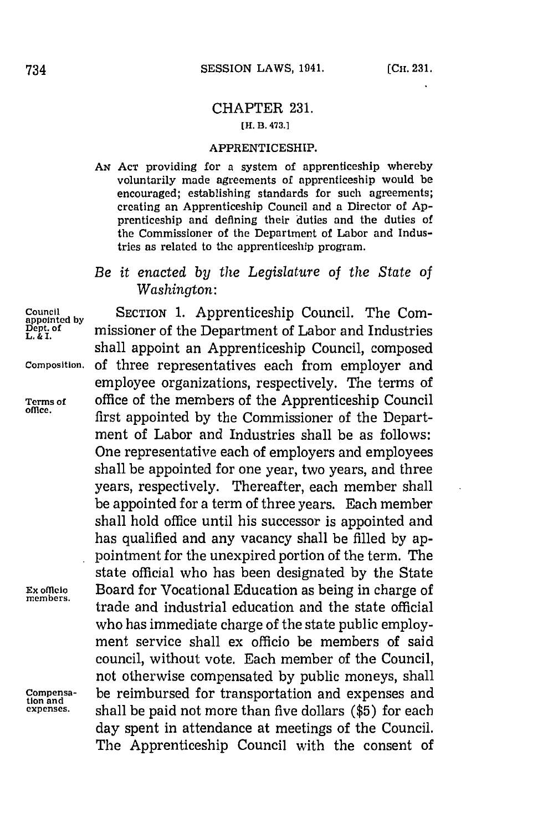## CHAPTER **231.**

## **[H. B. 473.1**

## APPRENTICESHIP.

- *AN* **ACT** providing for a system of apprcnticeship whereby voluntarily made agreements of apprenticeship would be encouraged; establishing standards for such agreements; creating an Apprenticeship Council and a Director of **Ap**prenticeship and defining their 'duties and the duties of the Commissioner of the Department of Labor and Industries as related to the apprenticeship program.
- *Be it enacted by the Legislature of the State of Washington:*

Council

**tion and**

**Council by** SECTION 1. Apprenticeship Council. The Com-**Dept.of** missioner of the Department of Labor and Industries shall appoint an Apprenticeship Council, composed **Composition. of** three representatives each from employer and employee organizations, respectively. The terms of **Terms of office of the members of the Apprenticeship Council** first appointed by the Commissioner of the Department of Labor and Industries shall be as follows: One representative each of employers and employees shall be appointed for one year, two years, and three years, respectively. Thereafter, each member shall be appointed for a term of three years. Each member shall hold office until his successor is appointed and has qualified and any vacancy shall be filled **by** appointment for the unexpired portion of the term. The state official who has been designated **by** the State **Ex omfcio** Board for Vocational Education as being in charge of **membrs,** trade and industrial education and the state official who has immediate charge of the state public employment service shall ex officio be members of said council, without vote. Each member of the Council, not otherwise compensated **by** public moneys, shall **Compensa-** be reimbursed for transportation and expenses and **expenses.** shall be paid not more than five dollars **(\$5)** for each day spent in attendance at meetings of the Council. The Apprenticeship Council with the consent of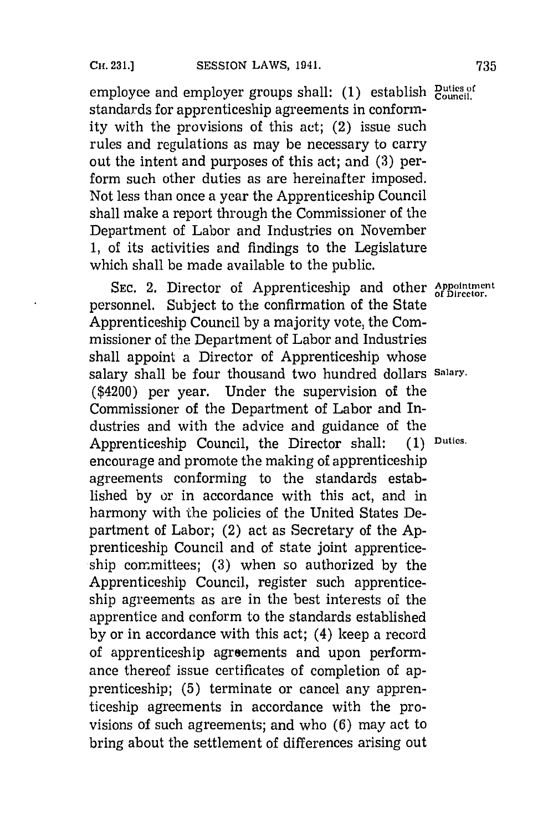employee and employer groups shall: (1) establish *Puties of* standards for apprenticeship agreements in conformity with the provisions of this act; (2) issue such rules and regulations as may be necessary to carry out the intent and purposes of this act; and **(3)** perform such other duties as are hereinafter imposed. Not less than once a year the Apprenticeship Council shall make a report through the Commissioner of the Department of Labor and Industries on November **1,** of its activities and findings to the Legislature which shall be made available to the public.

SEC. 2. Director of Apprenticeship and other **Appointment** personnel. Subject to the confirmation of the State Apprenticeship Council **by** a majority vote, the Commissioner of the Department of Labor and Industries shall appoint a Director of Apprenticeship whose salary shall be four thousand two hundred dollars **Salary.** (\$4200) per year. Under the supervision of the Commissioner of the Department of Labor and Industries and with the advice and guidance of the Apprenticeship Council, the Director shall: **(1) Duties.** encourage and promote the making of apprenticeship agreements conforming to the standards established **by** or in accordance with this act, and in harmony with the policies of the United States Department of Labor; (2) act as Secretary of the **Ap**prenticeship Council and of state joint apprenticeship committees; **(3)** when so authorized **by** the Apprenticeship Council, register such apprenticeship agreements as are in the best interests of the apprentice and conform to the standards established **by** or in accordance with this act; (4) keep a record of apprenticeship agreements and upon performance thereof issue certificates of completion of apprenticeship; **(5)** terminate or cancel any apprenticeship agreements in accordance with the provisions of such agreements; and who **(6)** may act to bring about the settlement of differences arising out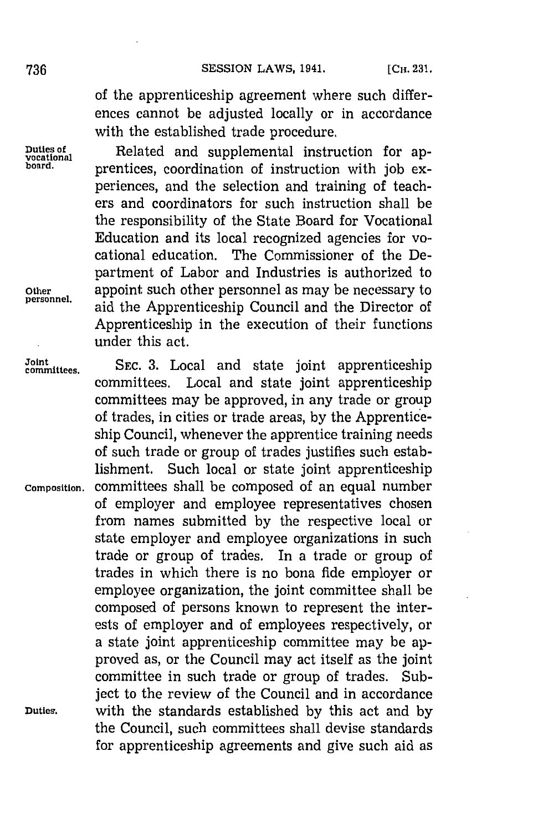of the apprenticeship agreement where such differences cannot be adjusted locally or in accordance with the established trade procedure.

**Duties of Related** and supplemental instruction for appoint board. **prentices**, coordination of instruction with job experiences, and the selection and training of teachers and coordinators for such instruction shall be the responsibility of the State Board for Vocational Education and its local recognized agencies for vocational education. The Commissioner of the Department of Labor and Industries is authorized to other appoint such other personnel as may be necessary to personnel. **personnel,** aid the Apprenticeship Council and the Director of Apprenticeship in the execution of their functions under this act.

**Joint committees. SEC. 3.** Local and state joint apprenticeship committees. Local and state joint apprenticeship committees may be approved, in any trade or group of trades, in cities or trade areas, **by** the Apprenticeship Council, whenever the apprentice training needs of such trade or group of trades justifies such establishment. Such local or state joint apprenticeship **Composition,** committees shall be composed of an equal number of employer and employee representatives chosen from names submitted **by** the respective local or state employer and employee organizations in such trade or group of trades. In a trade or group of trades in which there is no bona fide employer or employee organization, the joint committee shall be composed of persons known to represent the interests of employer and of employees respectively, or a state joint apprenticeship committee may be approved as, or the Council may act itself as the joint committee in such trade or group of trades. Subject to the review of the Council and in accordance **Duties,** with the standards established **by** this act and **by** the Council, such committees shall devise standards for apprenticeship agreements and give such aid as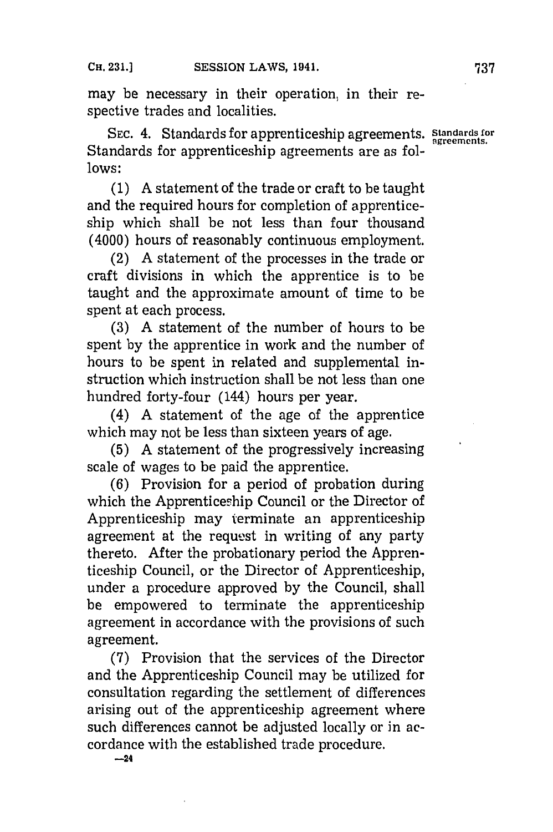may be necessary in their operation, in their respective trades and localities.

**SEC.** 4. Standards for apprenticeship agreements. **standards for** Standards for apprenticeship agreements are as fol**lows:**

**(1) A** statement of the trade or craft to be taught and the required hours for completion of apprenticeship which shall be not less than four thousand (4000) hours of reasonably continuous employment.

(2) **A** statement of the processes in the trade or craft divisions in which the apprentice is to be taught and the approximate amount of time to be spent at each process.

**(3) A** statement of the number of hours to be spent **by** the apprentice in work and the number of hours to be spent in related and supplemental instruction which instruction shall be not less than one hundred forty-four (144) hours per year.

(4) **A** statement of the age of the apprentice which may not be less than sixteen years of age.

**(5) A** statement of the progressively increasing scale of wages to be paid the apprentice.

**(6)** Provision for a period of probation during which the Apprenticeship Council or the Director of Apprenticeship may terminate an apprenticeship agreement at the request in writing of any party thereto. **After** the probationary period the Apprenticeship Council, or the Director of Apprenticeship, under a procedure approved **by** the Council, shall be empowered to terminate the apprenticeship agreement in accordance with the provisions of such agreement.

**(7)** Provision that the services of the Director and the Apprenticeship Council may be utilized for consultation regarding the settlement of differences arising out of the apprenticeship agreement where such differences cannot be adjusted locally or in accordance with the established trade procedure.